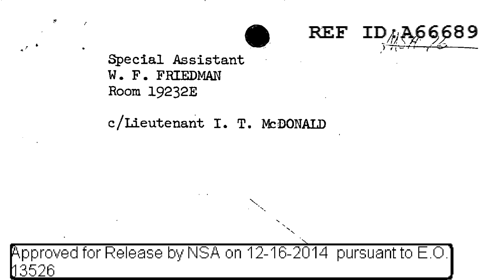



Special Assistant W. F. FRIEDMAN Room 19232E

# c/Lieutenant I. T. McDONALD

pproved for Release by NSA on 12-16-2014 pursuant to E.O.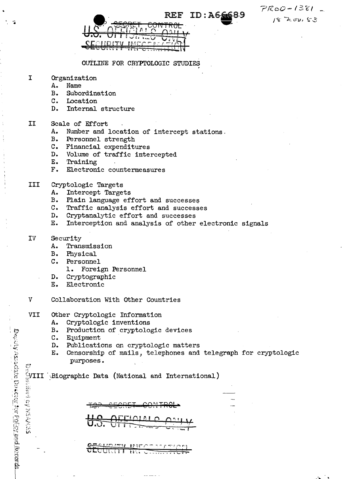$PR0D-1381$  $18.700153$ 

|                                                                                                                 | REF ID:A6 |
|-----------------------------------------------------------------------------------------------------------------|-----------|
|                                                                                                                 |           |
| п.                                                                                                              |           |
| VENDETV BSECTB.                                                                                                 |           |
| the property of the contract of the contract of the contract of the contract of the contract of the contract of |           |

OUTLINE FOR CRYPTOLOGIC STUDIES

- Ĩ. Organization
	- A. Name
	- $B_{\star}$ Subordination
	- $\overline{c}$ . Location
	- $D_{\bullet}$ Internal structure

#### II Scale of Effort

- A. Number and location of intercept stations.
- Personnel strength  $B_{\bullet}$
- C. Financial expenditures
- D. Volume of traffic intercepted
- $E_{\bullet}$ Training
- $\mathbf{F}$ . Electronic countermeasures

### **III** Cryptologic Targets

- $A_{\bullet}$ Intercept Targets
- $B.$ Plain language effort and successes
- $\mathbf{C}$ . Traffic analysis effort and successes
- $D_{\bullet}$ Cryptanalytic effort and successes
- Interception and analysis of other electronic signals  $E.$
- Security IV
	- A. Transmission
	- $B.$ Physical
	- $\mathbf{c}$ . Personnel
		- 1. Foreign Personnel
	- $D_{\bullet}$ Cryptographic
	- $E_{\star}$ Electronic
- $\mathbf v$ Collaboration With Other Countries
- **VII** Other Cryptologic Information
	- A. Cryptologic inventions
	- $B_{\bullet}$ Production of cryptologic devices
	- $\mathbf{C}$ . Equipment
	- $D_{\bullet}$ Publications on cryptologic matters
	- Censorship of mails, telephones and telegraph for cryptologic Ε. purposes.

 $\frac{1}{2}$ VIII Biographic Data (National and International)

**JAMA CO OLUQITI II HIGHT** 

Page is a sociate the confrom the College and Recovers Engine with the